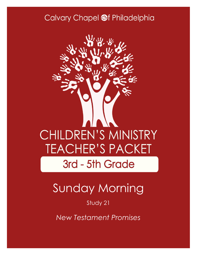### Calvary Chapel @f Philadelphia



# Sunday Morning

### Study 21

*New Testament Promises*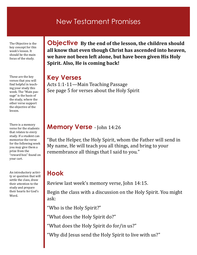### New Testament Promises

The Objective is the key concept for this week's lesson. It should be the main focus of the study.

These are the key verses that you will find helpful in teaching your study this week. The "Main passage" is the basis of the study, where the other verse support the objective of the lesson.

There is a memory verse for the students that relates to every study. If a student can memorize the verse for the following week you may give them a prize from the "reward box" found on your cart.

An introductory activity or question that will settle the class, draw their attention to the study and prepare their hearts for God's Word.

**Objective By the end of the lesson, the children should all know that even though Christ has ascended into heaven, we have not been left alone, but have been given His Holy Spirit. Also, He is coming back!**

### **Key Verses**

Acts 1:1-11—Main Teaching Passage See page 5 for verses about the Holy Spirit

### **Memory Verse** - John 14:26

"But the Helper, the Holy Spirit, whom the Father will send in My name, He will teach you all things, and bring to your remembrance all things that I said to you."

### **Hook**

Review last week's memory verse, John 14:15.

Begin the class with a discussion on the Holy Spirit. You might ask:

"Who is the Holy Spirit?"

"What does the Holy Spirit do?"

"What does the Holy Spirit do for/in us?"

"Why did Jesus send the Holy Spirit to live with us?"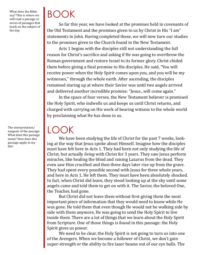What does the Bible say? This is where we will read a passage or series of passages that teach on the subject of the day.

The interpretation/ exegesis of the passage. What does this passage mean? How does this passage apply to my life?

# BOOK

So far this year, we have looked at the promises held in covenants of the Old Testament and the promises given to us by Christ in His "I am" statements in John. Having completed these, we will now turn our studies to the promises given to the Church found in the New Testament.

Acts 1 begins with the disciples still not understanding the full reason for Christ's sacrifice and asking if He was going to overthrow the Roman government and restore Israel to its former glory. Christ chided them before giving a final promise to His disciples. He said, "You will receive power when the Holy Spirit comes upon you, and you will be my witnesses," through the whole earth. After ascending, the disciples remained staring up at where their Savior was until two angels arrived and delivered another incredible promise: "Jesus...will come again."

In the space of four verses, the New Testament believer is promised the Holy Spirit, who indwells us and keeps us until Christ returns, and charged with carrying on His work of bearing witness to the whole world by proclaiming what He has done in us.

## LOOK

We have been studying the life of Christ for the past 7 weeks, looking at the way that Jesus spoke about Himself. Imagine how the disciples must have felt here in Acts 1. They had been not only studying the life of Christ, but actually *living* with Christ for 3 years. They saw Jesus perform miracles, like healing the blind and raising Lazarus from the dead. They even saw Him crucified and then three days later rise up from the grave. They had spent every possible second with Jesus for three whole years, and here in Acts 1, He left them. They must have been absolutely shocked. In fact, when Christ did leave, they stood looking up at the sky until some angels came and told them to get on with it. The Savior, the beloved One, the Teacher, had gone.

But Christ did not leave them without first giving them the most important piece of information that they would need to know while He was gone. He told them that even though He would not be walking side by side with them anymore, He was going to send the Holy Spirit to live inside them. There are a lot of things that we learn about the Holy Spirit from Scripture. One of those things is found in this passage: the Holy Spirit gives us power.

We need to be clear, the Holy Spirit is not going to turn us into one of the Avengers. When we become a follower of Christ, we don't gain super-strength or the ability to fire laser beams out of our eye balls. The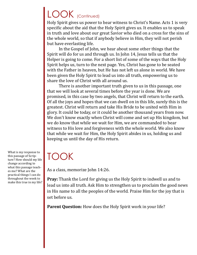# LOOK (Continued)

Holy Spirit gives us power to bear witness to Christ's Name. Acts 1 is very specific about the aid that the Holy Spirit gives us. It enables us to speak in truth and love about our great Savior who died on a cross for the sins of the whole world, so that if anybody believe in Him, they will not perish but have everlasting life.

In the Gospel of John, we hear about some other things that the Spirit will do for us and through us. In John 14, Jesus tells us that the Helper is going to come. For a short list of some of the ways that the Holy Spirit helps us, turn to the next page. Yes, Christ has gone to be seated with the Father in heaven, but He has not left us alone in world. We have been given the Holy Spirit to lead us into all truth, empowering us to share the love of Christ with all around us.

There is another important truth given to us in this passage, one that we will look at several times before the year is done. We are promised, in this case by two angels, that Christ will return to the earth. Of all the joys and hopes that we can dwell on in this life, surely this is the greatest. Christ will return and take His Bride to be united with Him in glory. It could be today, or it could be another thousand years from now. We don't know exactly when Christ will come and set up His kingdom, but we do know that while we wait for Him, we are commanded to bear witness to His love and forgiveness with the whole world. We also know that while we wait for Him, the Holy Spirit abides in us, holding us and keeping us until the day of His return.

# TOOK

As a class, memorize John 14:26.

**Pray:** Thank the Lord for giving us the Holy Spirit to indwell us and to lead us into all truth. Ask Him to strengthen us to proclaim the good news in His name to all the peoples of the world. Praise Him for the joy that is set before us.

Parent Question: How does the Holy Spirit work in your life?

What is my response to this passage of Scripture? How should my life change according to what this passage teaches me? What are the practical things I can do throughout the week to make this true in my life?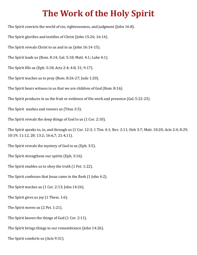## **The Work of the Holy Spirit**

The Spirit convicts the world of sin, righteousness, and judgment (John 16:8).

The Spirit glorifies and testifies of Christ (John 15:26; 16:14).

The Spirit reveals Christ to us and in us (John 16:14-15).

The Spirit leads us (Rom. 8:14; Gal. 5:18; Matt. 4:1; Luke 4:1).

The Spirit fills us (Eph. 5:18; Acts 2:4; 4:8, 31; 9:17).

The Spirit teaches us to pray (Rom. 8:26-27; Jude 1:20).

The Spirit bears witness in us that we are children of God (Rom. 8:16).

The Spirit produces in us the fruit or evidence of His work and presence (Gal. 5:22-23).

The Spirit washes and renews us (Titus 3:5).

The Spirit reveals the deep things of God to us (1 Cor. 2:10).

The Spirit speaks to, in, and through us (1 Cor. 12:3; 1 Tim. 4:1; Rev. 2:11; Heb 3:7; Matt. 10:20; Acts 2:4; 8:29; 10:19; 11:12, 28; 13:2; 16:6,7; 21:4,11).

The Spirit reveals the mystery of God to us (Eph. 3:5).

The Spirit strengthens our spirits (Eph. 3:16).

The Spirit enables us to obey the truth (1 Pet. 1:22).

The Spirit confesses that Jesus came in the flesh (1 John 4:2).

The Spirit teaches us (1 Cor. 2:13; John 14:26).

The Spirit gives us joy (1 Thess. 1:6).

The Spirit moves us (2 Pet. 1:21).

The Spirit knows the things of God (1 Cor. 2:11).

The Spirit brings things to our remembrance (John 14:26).

The Spirit comforts us (Acts 9:31).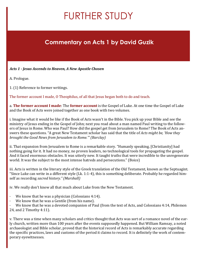# FURTHER STUDY

### **Commentary on Acts 1 by David Guzik**

#### *Acts 1 - Jesus Ascends to Heaven, A New Apostle Chosen*

A. Prologue.

1. (1) Reference to former writings.

The former account I made, O Theophilus, of all that Jesus began both to do and teach.

a. **The former account I made**: The **former account** is the Gospel of Luke. At one time the Gospel of Luke and the Book of Acts were joined together as one book with two volumes.

i. Imagine what it would be like if the Book of Acts wasn't in the Bible. You pick up your Bible and see the ministry of Jesus ending in the Gospel of John; next you read about a man named Paul writing to the followers of Jesus in Rome. Who was Paul? How did the gospel get from Jerusalem to Rome? The Book of Acts answers these questions. "A great New Testament scholar has said that the title of *Acts might be, 'How they brought the Good News from Jerusalem to Rome.'" (Barclay)*

ii. That expansion from Jerusalem to Rome is a remarkable story. "Humanly speaking, [Christianity] had nothing going for it. It had no money, no proven leaders, no technological tools for propagating the gospel. And it faced enormous obstacles. It was utterly new. It taught truths that were incredible to the unregenerate world. It was the subject to the most intense hatreds and persecutions." (Boice)

iii. Acts is written in the literary style of the Greek translation of the Old Testament, known as the Septuagint. "Since Luke can write in a different style (Lk. 1:1-4), this is something deliberate. Probably he regarded himself as recording *sacred history." (Marshall)*

iv. We really don't know all that much about Luke from the New Testament.

- We know that he was a physician (Colossians 4:14).
- We know that he was a Gentile (from his name).

We know that he was a devoted companion of Paul (from the text of Acts, and Colossians 4:14, Philemon 24, and 2 Timothy 4:11).

v. There was a time when many scholars and critics thought that Acts was sort of a romance novel of the early church, written more than 100 years after the events supposedly happened. But William Ramsay, a noted archaeologist and Bible scholar, proved that the historical record of Acts is remarkably accurate regarding the specific practices, laws and customs of the period it claims to record. It is definitely the work of contemporary eyewitnesses.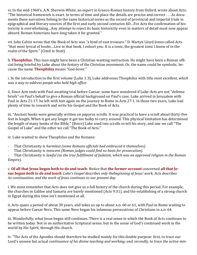vi. In the mid-1960's, A.N. Sherwin-White, an expert in Graeco-Roman history from Oxford, wrote about Acts: "The historical framework is exact. In terms of time and place the details are precise and correct . . . As documents these narratives belong to the same historical series as the record of provincial and imperial trials in epigraphical and literary sources of the first and early second centuries AD…For Acts the confirmation of historicity is overwhelming…Any attempt to reject its basic historicity even in matters of detail must now appear absurd. Roman historians have long taken it for granted."

vii. John Calvin wrote that the Book of Acts was "a kind of vast treasure." D. Martyn Lloyd-Jones called Acts "that most lyrical of books…Live in that book, I exhort you: It is a tonic, the greatest tonic I know of in the realm of the Spirit." (Cited in Stott)

b. **Theophilus**: This man might have been a Christian wanting instruction. He might have been a Roman official being briefed by Luke about the history of the Christian movement. Or, the name could be symbolic, because the name **Theophilus** means "God-lover."

i. In the introduction to the first volume (Luke 1:3), Luke addresses Theophilus with title *most excellent, which was a way to address people who held high office.*

ii. Since Acts ends with Paul awaiting trial before Caesar, some have wondered if Luke-Acts are not "defense briefs" on Paul's behalf to give a Roman official background on Paul's case. Luke arrived in Jerusalem with Paul in Acts 21:17; he left with him again on the journey to Rome in Acts 27:1. In those two years, Luke had plenty of time to research and write his Gospel and the Book of Acts.

iii. "Ancient books were generally written on papyrus scrolls. It was practical to have a scroll about thirty-five feet in length. When it got any longer it got too bulky to carry around. This physical limitation has determined the length of many books of the Bible." (Boice) Luke used two scrolls to tell his story, and one we call "The Gospel of Luke" and the other we call "The Book of Acts."

iv. Luke wanted to show Theophilus and the Romans:

- · That Christianity is *harmless (some Romans officials had embraced it themselves).*
- · That Christianity is *innocent (Roman judges could find no basis for prosecution).*

· That Christianity is *lawful (as the true fulfillment of Judaism, which was an approved religion in the Roman Empire).*

c. **Of all that Jesus began both to do and teach**: Notice that **the former account** concerned **all that Jesus** *began both to do and teach. Luke's Gospel describes only thebeginning of Jesus' work; Acts describes its continuation; and the work of Jesus continues to our present day.*

i. We must remember that Acts does not give us a full history of the church during this period. For example, the churches in Galilee and Samaria are barely mentioned (Acts 9:31), and the establishing of a strong church in Egypt during this time isn't mentioned at all.

ii. Acts spans a period of about 30 years, and takes us up to about A.D. 60 or 61, with Paul in Rome waiting to appear before Caesar Nero. This same Nero began his infamous persecutions of Christians in A.D. 64.

iii. Wonderfully, what Jesus began still continues. There is a real sense in which the Book of Acts continues to be written today. Not in an authoritative Scriptural sense; but in the sense of God's continued work in the world by His Spirit, through His church.

iv. "The Acts of the Apostles should therefore be studied mainly for this double purpose: first, to trace our Lord's unseen but actual *continuance of his divine teaching and working; and, secondly, to trace the active min-*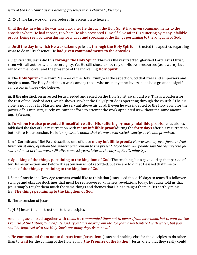#### *istry of the Holy Spirit as the abiding presence in the church." (Pierson)*

2. (2-3) The last work of Jesus before His ascension to heaven.

Until the day in which He was taken up, after He through the Holy Spirit had given commandments to the apostles whom He had chosen, to whom He also presented Himself alive after His suffering by many infallible proofs, being seen by them during forty days and speaking of the things pertaining to the kingdom of God.

a. **Until the day in which He was taken up**: Jesus, **through the Holy Spirit**, instructed the apostles regarding what to do in His absence. He **had given commandments to the apostles**.

i. Significantly, Jesus did this **through the Holy Spirit**. This was the resurrected, glorified Lord Jesus Christ, risen with all authority and sovereignty. Yet He still chose to not rely on His own resources (as it were), but relied on the power and the presence of the indwelling **Holy Spirit**.

ii. The **Holy Spirit** – the Third Member of the Holy Trinity – is the aspect of God that lives and empowers and inspires man. The Holy Spirit has a work among those who are not yet believers, but also a great and significant work in those who believe.

iii. If the glorified, resurrected Jesus needed and relied on the Holy Spirit, so should we. This is a pattern for the rest of the Book of Acts, which shows us what the Holy Spirit does operating through the church. "The disciple is not above his Master, nor the servant above his Lord. If even he was indebted to the Holy Spirit for the power of his ministry, surely we cannot afford to attempt the work appointed us without the same anointing." (Pierson)

b. **To whom He also presented Himself alive after His suffering by many infallible proofs**: Jesus also established the fact of His resurrection with **many infallible proofs**during the **forty days** after his resurrection but before His ascension. He left *no possible doubt that He was resurrected, exactly as He had promised.*

i. In 1 Corinthians 15:6 Paul described one of these **many infallible proofs**: *He was seen by over five hundred brethren at once, of whom the greater part remain to the present. More than 500 people saw the resurrected Jesus, and most of them were still alive some 25 years later in the days of Paul's ministry.*

c. **Speaking of the things pertaining to the kingdom of God**: The teaching Jesus gave during that period after His resurrection and before His ascension is not recorded, but we are told that He used that time to speak **of the things pertaining to the kingdom of God**.

i. Some Gnostic and New Age teachers would like to think that Jesus used those 40 days to teach His followers strange and obscure doctrines that must be rediscovered with new revelations today. But Luke told us that Jesus simply taught them much the same things and themes that He had taught them in His earthly ministry: **The things pertaining to the kingdom of God**.

B. The ascension of Jesus.

1. (4-5) Jesus' final instructions to the disciples.

And being assembled together with *them, He commanded them not to depart from Jerusalem, but to wait for the Promise of the Father, "which," He said, "you have heard from Me; for John truly baptized with water, but you shall be baptized with the Holy Spirit not many days from now."*

a. **He commanded them not to depart from Jerusalem**: Jesus had nothing else for the disciples to do other than to **wait** for the coming of the Holy Spirit (**the Promise of the Father**). Jesus knew that they really could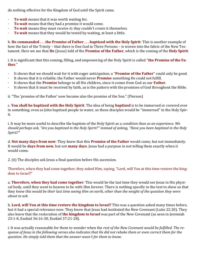do nothing effective for the Kingdom of God until the Spirit came.

- · **To wait** means that it was worth waiting for.
- To wait means that they had a promise it would come.
- · **To wait** means they must *receive it; they couldn't create it themselves.*
- · **To wait** means that they would be tested by waiting, at least a little.

b. **He commanded . . . the Promise of Father . . . baptized with the Holy Spirit**: This is another example of how the fact of the Trinity – that there is One God in Three Persons – is woven into the fabric of the New Testament. Here we see that **He** (Jesus) told of the **Promise of the Father**, which is the coming of the **Holy Spirit**.

i. It is significant that this coming, filling, and empowering of the Holy Spirit is called "**the Promise of the Father**."

- · It shows that we should wait for it with eager anticipation; a "**Promise of the Father**" could only be good.
- · It shows that it is reliable; the Father would never **Promise** something He could not fulfill.
- · It shows that the **Promise** belongs to all His children, since it comes from God as our **Father**.
- · It shows that it must be received by faith, as is the pattern with the promises of God throughout the Bible.

ii. "The 'promise of the Father' now became also the promise of the Son." (Pierson)

c. **You shall be baptized with the Holy Spirit**: The idea of being **baptized** is to be immersed or covered over in something; even as John baptized people in water, so these disciples would be "immersed" in the Holy Spirit.

i. It may be more useful to describe the baptism of the Holy Spirit as a *condition than as an experience. We should perhaps ask, "Are you baptized in the Holy Spirit?" instead of asking, "Have you been baptized in the Holy Spirit?"*

d. **Not many days from now**: They knew that this **Promise of the Father** would come, but not immediately. It would be **days from now**, but not **many days**. Jesus had a purpose in not telling them exactly when it would come.

2. (6) The disciples ask Jesus a final question before His ascension.

Therefore, when they had come together, they asked Him, saying, "Lord, will You at this time restore the kingdom to Israel?"

a. **Therefore, when they had come together**: This would be the last time they would see Jesus in His physical body, until they went to heaven to be with Him forever. There is nothing specific in the text to show us that they *knew this would be their last time seeing Him on earth, other than the weight of the question they were about to ask.*

b. **Lord, will You at this time restore the kingdom to Israel?** This was a question asked many times before, but it had a special relevance now. They knew that Jesus had instituted the New Covenant (Luke 22:20). They also knew that the restoration of **the kingdom to Israel** was part of the New Covenant (as seen in Jeremiah 23:1-8, Ezekiel 36:16-30, Ezekiel 37:21-28).

i. It was actually reasonable for them to wonder when the *rest of the New Covenant would be fulfilled. The response of Jesus in the following verses also indicates that He did not rebuke them or even correct them for the question. He simply told them that the answer wasn't for them to know.*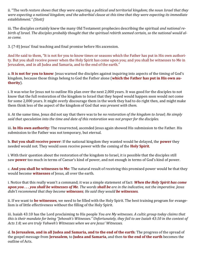ii. "The verb *restore shows that they were expecting a political and territorial kingdom; the noun Israel that they were expecting a national kingdom; and the adverbial clause at this time that they were expecting its immediate establishment." (Stott)*

iii. The disciples certainly knew the many Old Testament prophecies describing the spiritual *and national rebirth of Israel. The disciples probably thought that the spiritual rebirth seemed certain, so the national would also come.*

3. (7-8) Jesus' final teaching and final promise before His ascension.

And He said to them, "It is not for you to know times or seasons which the Father has put in His own authority. But you shall receive power when the Holy Spirit has come upon you; and you shall be witnesses to Me in Jerusalem, and in all Judea and Samaria, and to the end of the earth."

a. **It is not for you to know**: Jesus warned the disciples against inquiring into aspects of the timing of God's kingdom, because those things belong to God the Father alone (**which the Father has put in His own authority**).

i. It was wise for Jesus not to outline His plan over the next 2,000 years. It was good for the disciples to not know that the full restoration of the kingdom to Israel that they hoped would happen soon would not come for some 2,000 years. It might overly discourage them in the work they had to do right then, and might make them think less of the aspect of the kingdom of God that *was present with them.*

ii. At the same time, Jesus did not say that there was to be *no restoration of the kingdom to Israel; He simply said that speculation into the time and date of this restoration was not proper for the disciples.*

iii. **In His own authority**: The resurrected, ascended Jesus again showed His submission to the Father. His submission to the Father was not temporary, but eternal.

b. **But you shall receive power**: If the national kingdom they wanted would be delayed, the **power** they needed would not. They would soon receive power with the coming of the **Holy Spirit**.

i. With their question about the restoration of the kingdom to Israel, it is possible that the disciples still saw **power** too much in terms of Caesar's kind of power, and not enough in terms of God's kind of power.

c. **And you shall be witnesses to Me**: The natural result of receiving this promised power would be that they would become **witnesses** of Jesus, all over the earth.

i. Notice that this really wasn't a command; it was a simple statement of fact: *When the Holy Spirit has come upon you . . . you shall be witnesses of Me. The words shall be are in the indicative, not the imperative. Jesus didn't recommend that they become witnesses; He said they would be witnesses.*

ii. If we want to **be witnesses**, we need to be filled with the Holy Spirit. The best training program for evangelism is of little effectiveness without the filling of the Holy Spirit.

iii. Isaiah 43:10 has the Lord proclaiming to His people *You are My witnesses. A cultic group today claims that this is their mandate for being "Jehovah's Witnesses." Unfortunately, they fail to see Isaiah 43:10 in the context of Acts 1:8; we are truly Yahweh's Witnesses when we are Jesus' Witnesses.*

d. **In Jerusalem, and in all Judea and Samaria, and to the end of the earth**: The progress of the spread of the gospel message from **Jerusalem**, to **Judea and Samaria**, and then **to the end of the earth** becomes the outline of Acts.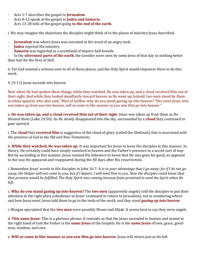- · Acts 1-7 describes the gospel in **Jerusalem**.
- · Acts 8-12 speak of the gospel in **Judea and Samaria**.
- · Acts 13-28 tells of the gospel going **to the end of the earth**.

i. We may imagine the objections the disciples might think of to the places of ministry Jesus described.

- · **Jerusalem** was where Jesus was executed at the word of an angry mob.
- · **Judea** rejected His ministry.
- **Samaria** was regarded as a wasteland of impure half-breeds.

· In the **uttermost parts of the earth**, the Gentiles were seen by some Jews of that day as nothing better than fuel for the fires of Hell.

ii. Yet God wanted a witness sent to all of these places, and the Holy Spirit would empower them to do this work.

4. (9-11) Jesus ascends into heaven.

Now when He had spoken these things, while they watched, He was taken up, and a cloud received Him out of their sight. And while they looked steadfastly toward heaven as He went up, behold, two men stood by them in white apparel, who also said, "Men of Galilee, why do you stand gazing up into heaven? This *same Jesus, who was taken up from you into heaven, will so come in like manner as you saw Him go into heaven."*

a. **He was taken up, and a cloud received Him out of their sight**: Jesus was taken up from them as He blessed them (Luke 24:50). As He slowly disappeared into the sky, surrounded by a **cloud** they continued to gaze upward.

i. The **cloud** that **received Him** is suggestive of the cloud of glory (called the *Shekinah) that is associated with the presence of God in the Old and New Testaments.*

b. **While they watched, He was taken up**: It was important for Jesus to leave His disciples in this manner. In theory, He certainly could have simply vanished to heaven and the Father's presence in a secret sort of way. But by ascending in this manner, Jesus wanted His followers to know that He was gone for good, as opposed to the way He appeared and reappeared during the 40 days after His resurrection.

i. Remember Jesus' words to His disciples in John 16:7: *It is to your advantage that I go away; for if I do not go away, the Helper will not come to you; but if I depart, I will send Him to you. Now the disciples could know that that promise would be fulfilled. The Holy Spirit was coming because Jesus promised to send the Spirit when He left.*

c. **Why do you stand gazing up into heaven?** The **two men** (apparently angels) told the disciples to put their attention in the right place (obedience to Jesus' command to return to Jerusalem), not in wondering where and how Jesus went. Jesus told them to go to the ends of the *earth, and they stood gazing up into heaven.*

i. Morgan speculated that the **two men** were possibly Moses and Elijah. It seems best to say they were angels.

d. **This same Jesus**: This is a glorious phrase. It reminds us that the Jesus ascended to heaven and seated at the right hand of God the Father is the **same Jesus** of the Gospels. He is the **same Jesus** of love, grace, goodness, wisdom, and care.

e. **Will so come in like manner as you saw Him go into heaven**: Jesus will return just as He left.